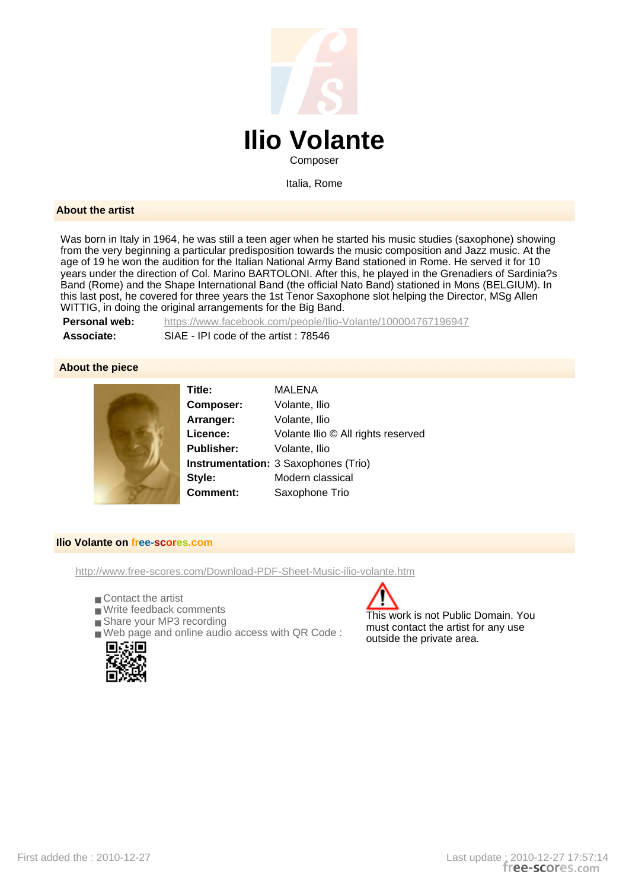

Italia, Rome

## **About the artist**

Was born in Italy in 1964, he was still a teen ager when he started his music studies (saxophone) showing from the very beginning a particular predisposition towards the music composition and Jazz music. At the age of 19 he won the audition for the Italian National Army Band stationed in Rome. He served it for 10 years under the direction of Col. Marino BARTOLONI. After this, he played in the Grenadiers of Sardinia?s Band (Rome) and the Shape International Band (the official Nato Band) stationed in Mons (BELGIUM). In this last post, he covered for three years the 1st Tenor Saxophone slot helping the Director, MSg Allen WITTIG, in doing the original arrangements for the Big Band.

**Personal web:** https://www.facebook.com/people/Ilio-Volante/100004767196947 **Associate:** SIAE - IPI code of the artist : 78546

## **About the piece**



**Title:** MALENA **Composer:** Volante, Ilio **Arranger:** Volante, Ilio **Licence:** Volante Ilio © All rights reserved **Publisher:** Volante, Ilio **Instrumentation:** 3 Saxophones (Trio) **Style:** Modern classical **Comment:** Saxophone Trio

## **Ilio Volante on free-scores.com**

http://www.free-scores.com/Download-PDF-Sheet-Music-ilio-volante.htm

- Contact the artist
- Write feedback comments
- Share your MP3 recording
- Web page and online audio access with QR Code :



This work is not Public Domain. You must contact the artist for any use outside the private area.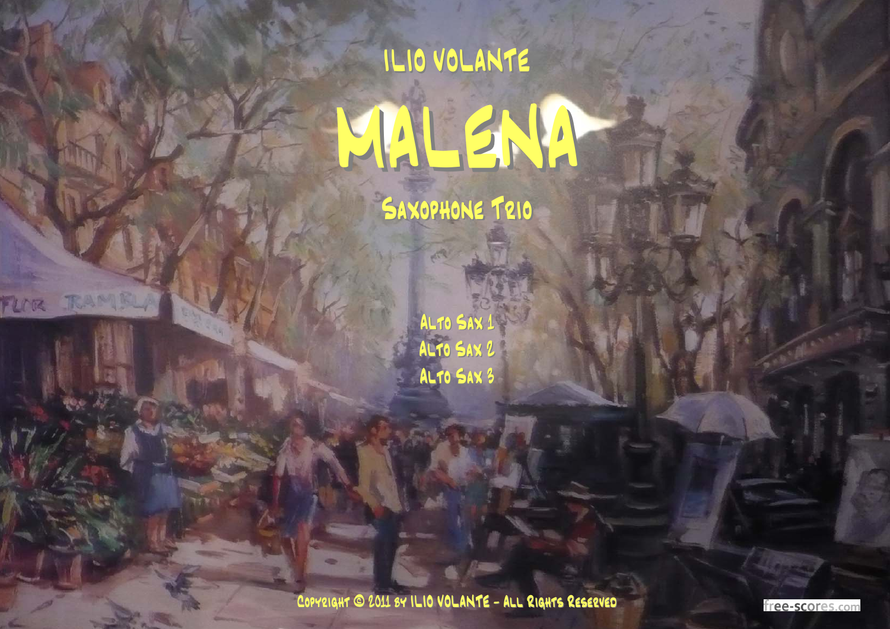## ILIO VOLANTE MAL SNA

SAXOPHONE TRIO

 $\sqrt{2}$ 

FLOR

ALTO SAX 1 ALTO SAX 2 ALTO SAX 3

COPYRIGHT @ 2011 BY ILIO VOLANTE - ALL RIGHTS RESERVED

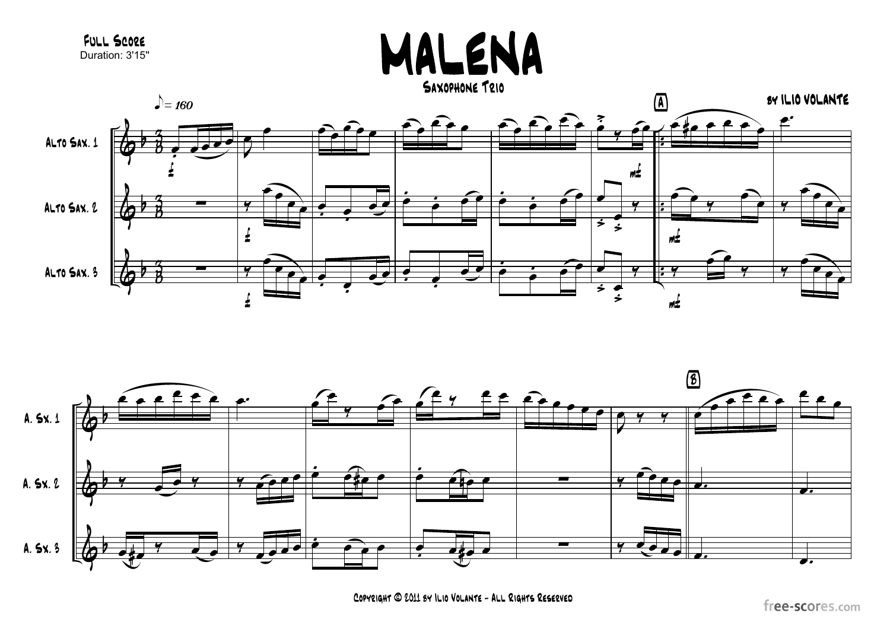



COPYRIGHT @ 2011 8Y ILIO VOLANTE - ALL RIGHTS RESERVED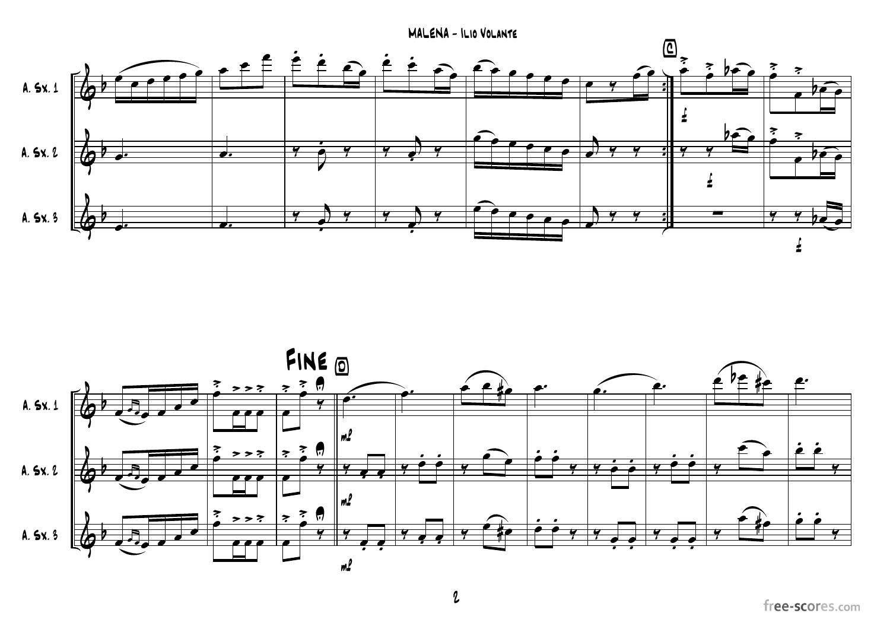$MALENA - ILIO VOLANTE$ 



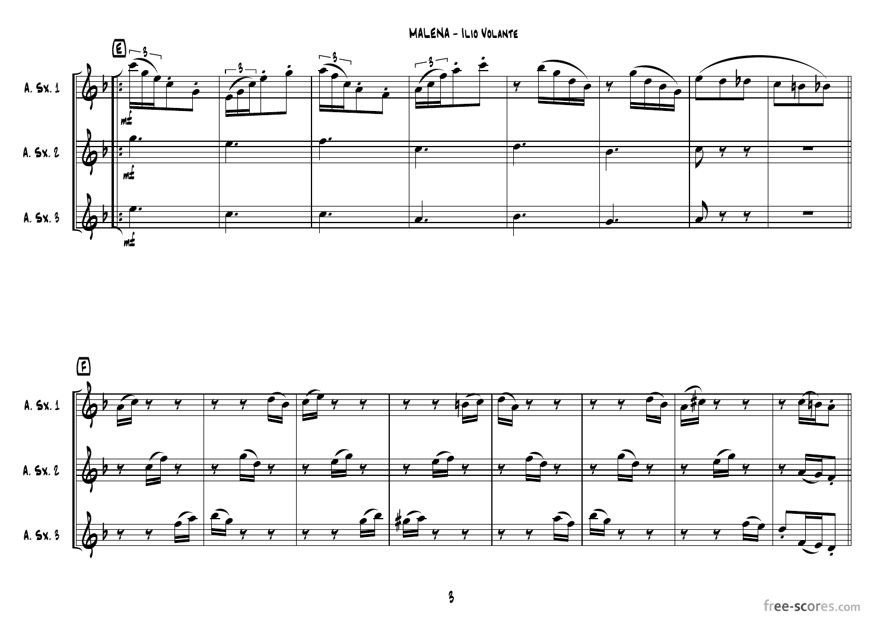MALENA - ILIO VOLANTE





 $\boldsymbol{\beta}$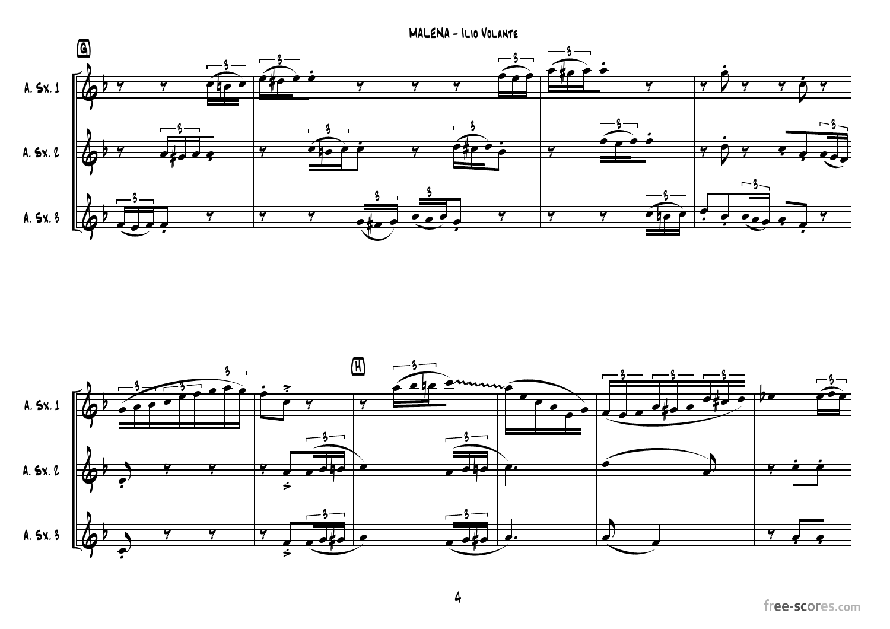MALENA - ILIO VOLANTE